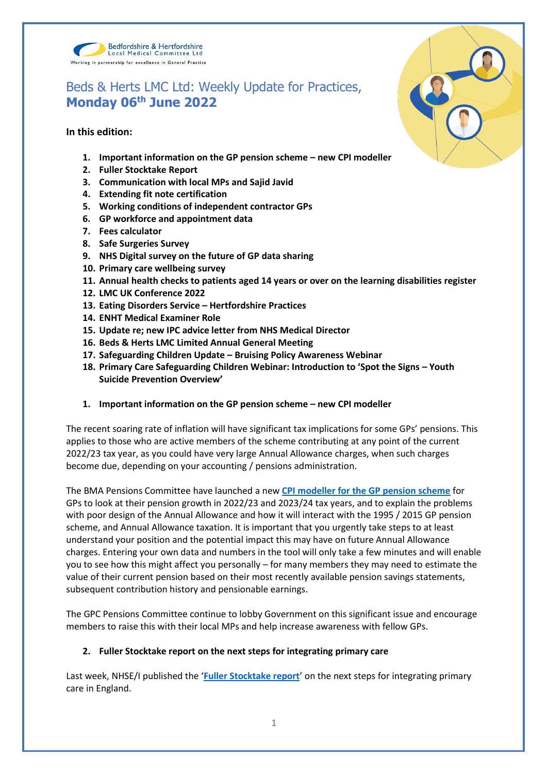

# Beds & Herts LMC Ltd: Weekly Update for Practices, **Monday 06th June 2022**

**In this edition:**

- **1. Important information on the GP pension scheme – new CPI modeller**
- **2. Fuller Stocktake Report**
- **3. Communication with local MPs and Sajid Javid**
- **4. Extending fit note certification**
- **5. Working conditions of independent contractor GPs**
- **6. GP workforce and appointment data**
- **7. Fees calculator**
- **8. Safe Surgeries Survey**
- **9. NHS Digital survey on the future of GP data sharing**
- **10. Primary care wellbeing survey**
- **11. Annual health checks to patients aged 14 years or over on the learning disabilities register**
- **12. LMC UK Conference 2022**
- **13. Eating Disorders Service – Hertfordshire Practices**
- **14. ENHT Medical Examiner Role**
- **15. Update re; new IPC advice letter from NHS Medical Director**
- **16. Beds & Herts LMC Limited Annual General Meeting**
- **17. Safeguarding Children Update – Bruising Policy Awareness Webinar**
- **18. Primary Care Safeguarding Children Webinar: Introduction to 'Spot the Signs – Youth Suicide Prevention Overview'**
- **1. Important information on the GP pension scheme – new CPI modeller**

The recent soaring rate of inflation will have significant tax implications for some GPs' pensions. This applies to those who are active members of the scheme contributing at any point of the current 2022/23 tax year, as you could have very large Annual Allowance charges, when such charges become due, depending on your accounting / pensions administration.

The BMA Pensions Committee have launched a new **[CPI modeller for the GP pension scheme](https://www.bma.org.uk/pay-and-contracts/pensions/tax/cpi-modeller-for-gp-pension-scheme)** for GPs to look at their pension growth in 2022/23 and 2023/24 tax years, and to explain the problems with poor design of the Annual Allowance and how it will interact with the 1995 / 2015 GP pension scheme, and Annual Allowance taxation. It is important that you urgently take steps to at least understand your position and the potential impact this may have on future Annual Allowance charges. Entering your own data and numbers in the tool will only take a few minutes and will enable you to see how this might affect you personally – for many members they may need to estimate the value of their current pension based on their most recently available pension savings statements, subsequent contribution history and pensionable earnings.

The GPC Pensions Committee continue to lobby Government on this significant issue and encourage members to raise this with their local MPs and help increase awareness with fellow GPs.

# **2. Fuller Stocktake report on the next steps for integrating primary care**

Last week, NHSE/I published the '**[Fuller Stocktake report](https://www.england.nhs.uk/publication/next-steps-for-integrating-primary-care-fuller-stocktake-report/)**' on the next steps for integrating primary care in England.

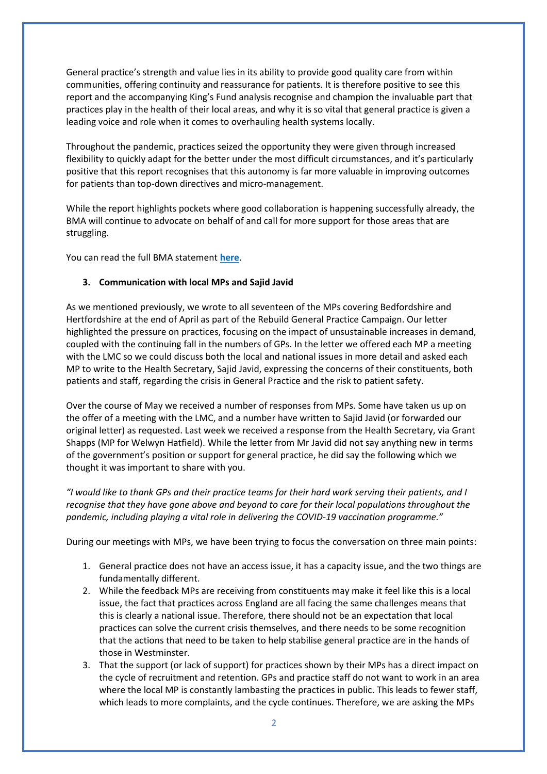General practice's strength and value lies in its ability to provide good quality care from within communities, offering continuity and reassurance for patients. It is therefore positive to see this report and the accompanying King's Fund analysis recognise and champion the invaluable part that practices play in the health of their local areas, and why it is so vital that general practice is given a leading voice and role when it comes to overhauling health systems locally.

Throughout the pandemic, practices seized the opportunity they were given through increased flexibility to quickly adapt for the better under the most difficult circumstances, and it's particularly positive that this report recognises that this autonomy is far more valuable in improving outcomes for patients than top-down directives and micro-management.

While the report highlights pockets where good collaboration is happening successfully already, the BMA will continue to advocate on behalf of and call for more support for those areas that are struggling.

You can read the full BMA statement **[here](https://www.bma.org.uk/bma-media-centre/vital-that-high-quality-general-practice-can-thrive-amid-nhs-changes-says-bma-in-response-to-fuller-stocktake)**.

#### **3. Communication with local MPs and Sajid Javid**

As we mentioned previously, we wrote to all seventeen of the MPs covering Bedfordshire and Hertfordshire at the end of April as part of the Rebuild General Practice Campaign. Our letter highlighted the pressure on practices, focusing on the impact of unsustainable increases in demand, coupled with the continuing fall in the numbers of GPs. In the letter we offered each MP a meeting with the LMC so we could discuss both the local and national issues in more detail and asked each MP to write to the Health Secretary, Sajid Javid, expressing the concerns of their constituents, both patients and staff, regarding the crisis in General Practice and the risk to patient safety.

Over the course of May we received a number of responses from MPs. Some have taken us up on the offer of a meeting with the LMC, and a number have written to Sajid Javid (or forwarded our original letter) as requested. Last week we received a response from the Health Secretary, via Grant Shapps (MP for Welwyn Hatfield). While the letter from Mr Javid did not say anything new in terms of the government's position or support for general practice, he did say the following which we thought it was important to share with you.

*"I would like to thank GPs and their practice teams for their hard work serving their patients, and I recognise that they have gone above and beyond to care for their local populations throughout the pandemic, including playing a vital role in delivering the COVID-19 vaccination programme."*

During our meetings with MPs, we have been trying to focus the conversation on three main points:

- 1. General practice does not have an access issue, it has a capacity issue, and the two things are fundamentally different.
- 2. While the feedback MPs are receiving from constituents may make it feel like this is a local issue, the fact that practices across England are all facing the same challenges means that this is clearly a national issue. Therefore, there should not be an expectation that local practices can solve the current crisis themselves, and there needs to be some recognition that the actions that need to be taken to help stabilise general practice are in the hands of those in Westminster.
- 3. That the support (or lack of support) for practices shown by their MPs has a direct impact on the cycle of recruitment and retention. GPs and practice staff do not want to work in an area where the local MP is constantly lambasting the practices in public. This leads to fewer staff, which leads to more complaints, and the cycle continues. Therefore, we are asking the MPs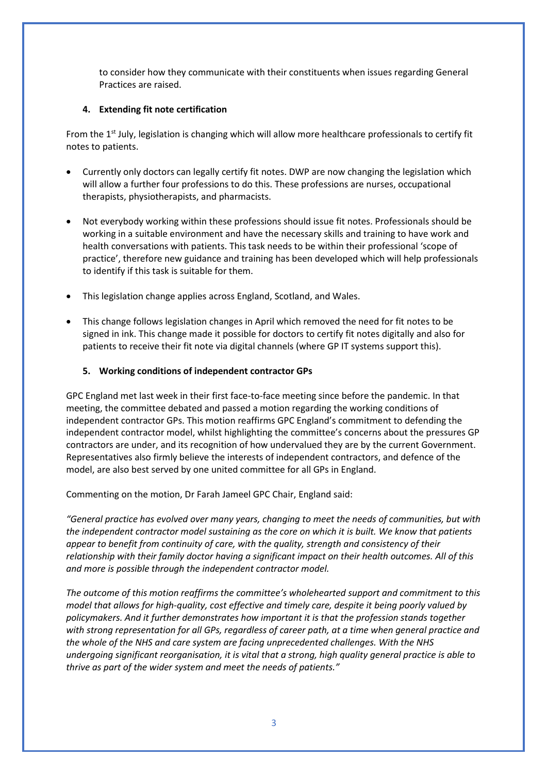to consider how they communicate with their constituents when issues regarding General Practices are raised.

# **4. Extending fit note certification**

From the 1<sup>st</sup> July, legislation is changing which will allow more healthcare professionals to certify fit notes to patients.

- Currently only doctors can legally certify fit notes. DWP are now changing the legislation which will allow a further four professions to do this. These professions are nurses, occupational therapists, physiotherapists, and pharmacists.
- Not everybody working within these professions should issue fit notes. Professionals should be working in a suitable environment and have the necessary skills and training to have work and health conversations with patients. This task needs to be within their professional 'scope of practice', therefore new guidance and training has been developed which will help professionals to identify if this task is suitable for them.
- This legislation change applies across England, Scotland, and Wales.
- This change follows legislation changes in April which removed the need for fit notes to be signed in ink. This change made it possible for doctors to certify fit notes digitally and also for patients to receive their fit note via digital channels (where GP IT systems support this).

# **5. Working conditions of independent contractor GPs**

GPC England met last week in their first face-to-face meeting since before the pandemic. In that meeting, the committee debated and passed a motion regarding the working conditions of independent contractor GPs. This motion reaffirms GPC England's commitment to defending the independent contractor model, whilst highlighting the committee's concerns about the pressures GP contractors are under, and its recognition of how undervalued they are by the current Government. Representatives also firmly believe the interests of independent contractors, and defence of the model, are also best served by one united committee for all GPs in England.

Commenting on the motion, Dr Farah Jameel GPC Chair, England said:

*"General practice has evolved over many years, changing to meet the needs of communities, but with the independent contractor model sustaining as the core on which it is built. We know that patients appear to benefit from continuity of care, with the quality, strength and consistency of their relationship with their family doctor having a significant impact on their health outcomes. All of this and more is possible through the independent contractor model.*

*The outcome of this motion reaffirms the committee's wholehearted support and commitment to this model that allows for high-quality, cost effective and timely care, despite it being poorly valued by policymakers. And it further demonstrates how important it is that the profession stands together with strong representation for all GPs, regardless of career path, at a time when general practice and the whole of the NHS and care system are facing unprecedented challenges. With the NHS undergoing significant reorganisation, it is vital that a strong, high quality general practice is able to thrive as part of the wider system and meet the needs of patients."*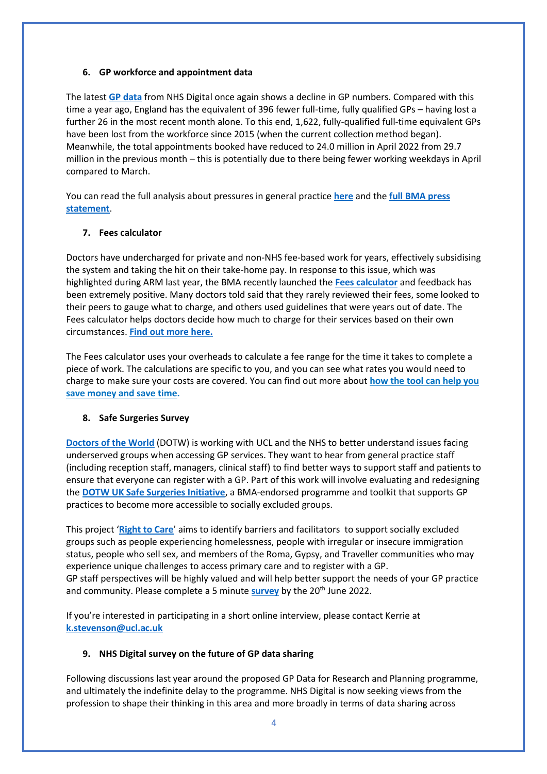#### **6. GP workforce and appointment data**

The latest **[GP data](https://digital.nhs.uk/data-and-information/publications/statistical/appointments-in-general-practice/march-2022)** from NHS Digital once again shows a decline in GP numbers. Compared with this time a year ago, England has the equivalent of 396 fewer full-time, fully qualified GPs – having lost a further 26 in the most recent month alone. To this end, 1,622, fully-qualified full-time equivalent GPs have been lost from the workforce since 2015 (when the current collection method began). Meanwhile, the total appointments booked have reduced to 24.0 million in April 2022 from 29.7 million in the previous month – this is potentially due to there being fewer working weekdays in April compared to March.

You can read the full analysis about pressures in general practice **[here](https://www.bma.org.uk/advice-and-support/nhs-delivery-and-workforce/pressures/pressures-in-general-practice-data-analysis)** and the **[full BMA press](https://www.bma.org.uk/bma-media-centre/gp-data-testament-to-staff-but-clock-is-ticking-on-addressing-workforce-crisis-says-bma)  [statement](https://www.bma.org.uk/bma-media-centre/gp-data-testament-to-staff-but-clock-is-ticking-on-addressing-workforce-crisis-says-bma)**.

# **7. Fees calculator**

Doctors have undercharged for private and non-NHS fee-based work for years, effectively subsidising the system and taking the hit on their take-home pay. In response to this issue, which was highlighted during ARM last year, the BMA recently launched the **[Fees calculator](https://www.bma.org.uk/pay-and-contracts/fees/fees-calculator/bma-fees-calculator)** and feedback has been extremely positive. Many doctors told said that they rarely reviewed their fees, some looked to their peers to gauge what to charge, and others used guidelines that were years out of date. The Fees calculator helps doctors decide how much to charge for their services based on their own circumstances. **[Find out more here.](https://www.bma.org.uk/pay-and-contracts/fees/fees-calculator/bma-fees-calculator)** 

The Fees calculator uses your overheads to calculate a fee range for the time it takes to complete a piece of work. The calculations are specific to you, and you can see what rates you would need to charge to make sure your costs are covered. You can find out more about **[how the tool can help you](https://www.bma.org.uk/pay-and-contracts/fees/fees-calculator/bma-fees-calculator)  [save money and save time.](https://www.bma.org.uk/pay-and-contracts/fees/fees-calculator/bma-fees-calculator)**

# **8. Safe Surgeries Survey**

**[Doctors of the World](https://www.doctorsoftheworld.org.uk/)** (DOTW) is working with UCL and the NHS to better understand issues facing underserved groups when accessing GP services. They want to hear from general practice staff (including reception staff, managers, clinical staff) to find better ways to support staff and patients to ensure that everyone can register with a GP. Part of this work will involve evaluating and redesigning the **[DOTW UK Safe Surgeries Initiative](https://www.doctorsoftheworld.org.uk/safesurgeries/)**, a BMA-endorsed programme and toolkit that supports GP practices to become more accessible to socially excluded groups.

This project '**[Right to](https://www.ucl.ac.uk/health-informatics/research/right-care) Care**' aims to identify barriers and facilitators to support socially excluded groups such as people experiencing homelessness, people with irregular or insecure immigration status, people who sell sex, and members of the Roma, Gypsy, and Traveller communities who may experience unique challenges to access primary care and to register with a GP. GP staff perspectives will be highly valued and will help better support the needs of your GP practice and community. Please complete a 5 minute **[survey](https://redcap.idhs.ucl.ac.uk/surveys/?s=XC7KAWMR3KNPAWPW)** by the 20<sup>th</sup> June 2022.

If you're interested in participating in a short online interview, please contact Kerrie at **[k.stevenson@ucl.ac.uk](mailto:k.stevenson@ucl.ac.uk)**

# **9. NHS Digital survey on the future of GP data sharing**

Following discussions last year around the proposed GP Data for Research and Planning programme, and ultimately the indefinite delay to the programme. NHS Digital is now seeking views from the profession to shape their thinking in this area and more broadly in terms of data sharing across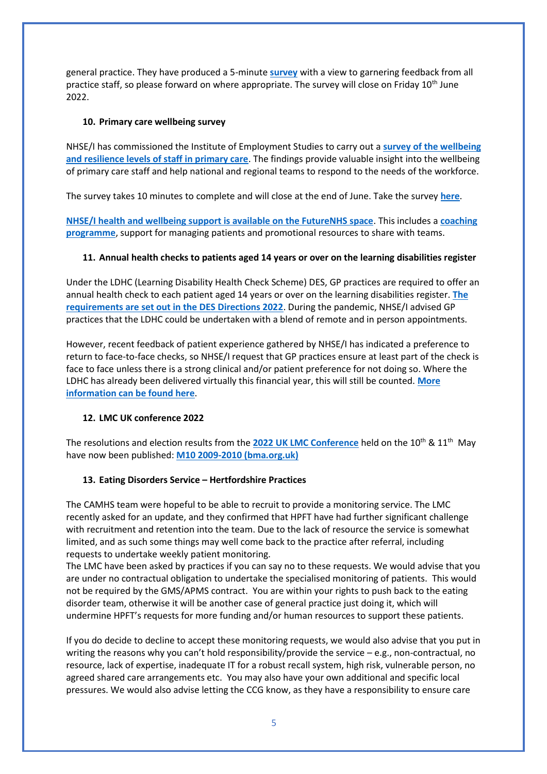general practice. They have produced a 5-minute **[survey](https://feedback.digital.nhs.uk/jfe/form/SV_54JLlAXbFi0VPro)** with a view to garnering feedback from all practice staff, so please forward on where appropriate. The survey will close on Friday 10<sup>th</sup> June 2022.

# **10. Primary care wellbeing survey**

NHSE/I has commissioned the Institute of Employment Studies to carry out a **[survey of the wellbeing](https://online1.snapsurveys.com/ad04ig)  [and resilience levels of staff in primary care](https://online1.snapsurveys.com/ad04ig)**. The findings provide valuable insight into the wellbeing of primary care staff and help national and regional teams to respond to the needs of the workforce.

The survey takes 10 minutes to complete and will close at the end of June. Take the survey **[here](https://online1.snapsurveys.com/ad04ig)**.

**NHSE/I health and [wellbeing support is available on the FutureNHS space](https://future.nhs.uk/P_C_N/view?objectID=23366960)**. This includes a **[coaching](https://www.england.nhs.uk/supporting-our-nhs-people/support-now/looking-after-you-confidential-coaching-and-support-for-the-primary-care-workforce/looking-after-you-too/)  [programme](https://www.england.nhs.uk/supporting-our-nhs-people/support-now/looking-after-you-confidential-coaching-and-support-for-the-primary-care-workforce/looking-after-you-too/)**, support for managing patients and promotional resources to share with teams.

# **11. Annual health checks to patients aged 14 years or over on the learning disabilities register**

Under the LDHC (Learning Disability Health Check Scheme) DES, GP practices are required to offer an annual health check to each patient aged 14 years or over on the learning disabilities register. **[The](http://www.gov.uk/government/publications/nhs-primary-medical-services-directions-2013)  [requirements are set out in the DES Directions 2022](http://www.gov.uk/government/publications/nhs-primary-medical-services-directions-2013)**. During the pandemic, NHSE/I advised GP practices that the LDHC could be undertaken with a blend of remote and in person appointments.

However, recent feedback of patient experience gathered by NHSE/I has indicated a preference to return to face-to-face checks, so NHSE/I request that GP practices ensure at least part of the check is face to face unless there is a strong clinical and/or patient preference for not doing so. Where the LDHC has already been delivered virtually this financial year, this will still be counted. **[More](https://www.nhs.uk/conditions/learning-disabilities/annual-health-checks/)  [information can be found here](https://www.nhs.uk/conditions/learning-disabilities/annual-health-checks/)**.

# **12. LMC UK conference 2022**

The resolutions and election results from the **[2022 UK LMC Conference](https://www.bma.org.uk/what-we-do/local-medical-committees)** held on the 10<sup>th</sup> & 11<sup>th</sup> May have now been published: **[M10 2009-2010 \(bma.org.uk\)](https://www.bma.org.uk/media/5658/bma-uk-lmc-conference-news-24-may-2022.pdf)**

# **13. Eating Disorders Service – Hertfordshire Practices**

The CAMHS team were hopeful to be able to recruit to provide a monitoring service. The LMC recently asked for an update, and they confirmed that HPFT have had further significant challenge with recruitment and retention into the team. Due to the lack of resource the service is somewhat limited, and as such some things may well come back to the practice after referral, including requests to undertake weekly patient monitoring.

The LMC have been asked by practices if you can say no to these requests. We would advise that you are under no contractual obligation to undertake the specialised monitoring of patients. This would not be required by the GMS/APMS contract. You are within your rights to push back to the eating disorder team, otherwise it will be another case of general practice just doing it, which will undermine HPFT's requests for more funding and/or human resources to support these patients.

If you do decide to decline to accept these monitoring requests, we would also advise that you put in writing the reasons why you can't hold responsibility/provide the service – e.g., non-contractual, no resource, lack of expertise, inadequate IT for a robust recall system, high risk, vulnerable person, no agreed shared care arrangements etc. You may also have your own additional and specific local pressures. We would also advise letting the CCG know, as they have a responsibility to ensure care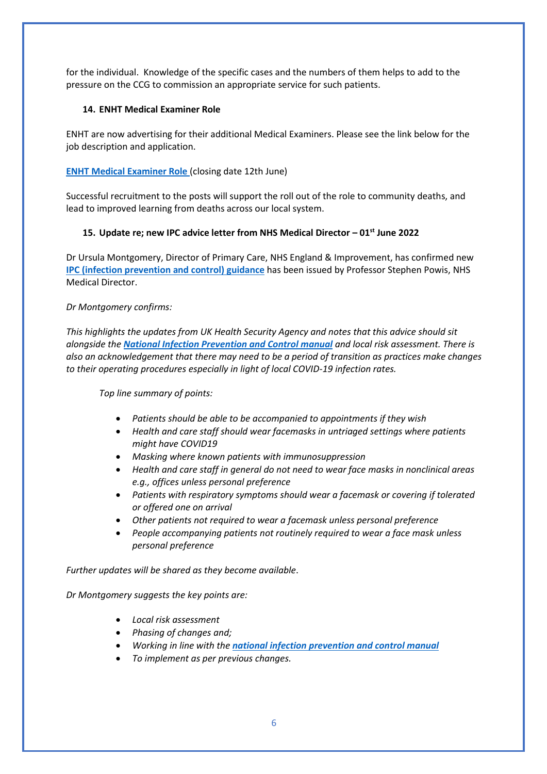for the individual. Knowledge of the specific cases and the numbers of them helps to add to the pressure on the CCG to commission an appropriate service for such patients.

# **14. ENHT Medical Examiner Role**

ENHT are now advertising for their additional Medical Examiners. Please see the link below for the job description and application.

# **[ENHT Medical Examiner Role](https://beta.jobs.nhs.uk/candidate/jobadvert/C9361-22-5895)** (closing date 12th June)

Successful recruitment to the posts will support the roll out of the role to community deaths, and lead to improved learning from deaths across our local system.

# **15. Update re; new IPC advice letter from NHS Medical Director – 01st June 2022**

Dr Ursula Montgomery, Director of Primary Care, NHS England & Improvement, has confirmed new **[IPC \(infection prevention and control\) guidance](https://www.england.nhs.uk/wp-content/uploads/2022/04/C1657_next-steps-on-infection-prevention-and-control-letter_010622.pdf)** has been issued by Professor Stephen Powis, NHS Medical Director.

# *Dr Montgomery confirms:*

*This highlights the updates from UK Health Security Agency and notes that this advice should sit alongside the [National Infection Prevention and Control manual](https://www.england.nhs.uk/publication/national-infection-prevention-and-control/) and local risk assessment. There is also an acknowledgement that there may need to be a period of transition as practices make changes to their operating procedures especially in light of local COVID-19 infection rates.* 

*Top line summary of points:* 

- *Patients should be able to be accompanied to appointments if they wish*
- *Health and care staff should wear facemasks in untriaged settings where patients might have COVID19*
- *Masking where known patients with immunosuppression*
- *Health and care staff in general do not need to wear face masks in nonclinical areas e.g., offices unless personal preference*
- *Patients with respiratory symptoms should wear a facemask or covering if tolerated or offered one on arrival*
- *Other patients not required to wear a facemask unless personal preference*
- *People accompanying patients not routinely required to wear a face mask unless personal preference*

*Further updates will be shared as they become available*.

*Dr Montgomery suggests the key points are:*

- *Local risk assessment*
- *Phasing of changes and;*
- *Working in line with the [national infection prevention and control manual](https://www.england.nhs.uk/publication/national-infection-prevention-and-control/)*
- *To implement as per previous changes.*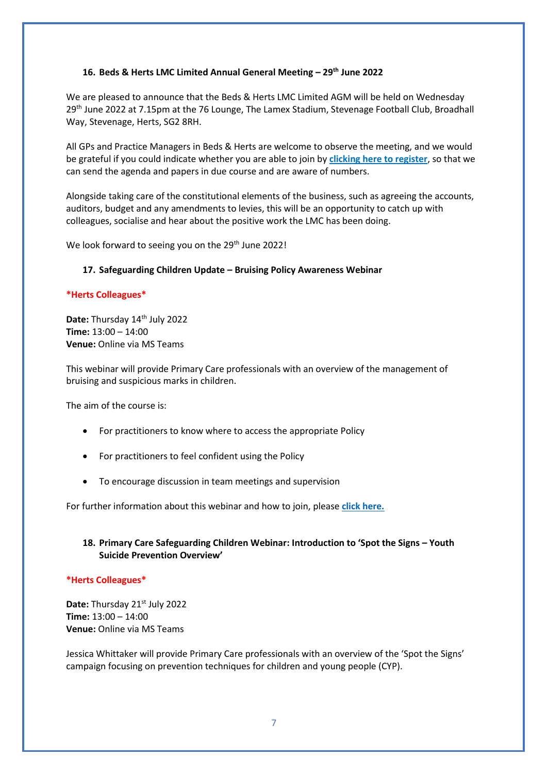#### **16. Beds & Herts LMC Limited Annual General Meeting – 29th June 2022**

We are pleased to announce that the Beds & Herts LMC Limited AGM will be held on Wednesday 29<sup>th</sup> June 2022 at 7.15pm at the 76 Lounge, The Lamex Stadium, Stevenage Football Club, Broadhall Way, Stevenage, Herts, SG2 8RH.

All GPs and Practice Managers in Beds & Herts are welcome to observe the meeting, and we would be grateful if you could indicate whether you are able to join by **[clicking here to register](https://www.cognitoforms.com/BHLMC1/bedshertslmcagm2022registrationform)**, so that we can send the agenda and papers in due course and are aware of numbers.

Alongside taking care of the constitutional elements of the business, such as agreeing the accounts, auditors, budget and any amendments to levies, this will be an opportunity to catch up with colleagues, socialise and hear about the positive work the LMC has been doing.

We look forward to seeing you on the 29<sup>th</sup> June 2022!

#### **17. Safeguarding Children Update – Bruising Policy Awareness Webinar**

#### **\*Herts Colleagues\***

**Date: Thursday 14<sup>th</sup> July 2022 Time:** 13:00 – 14:00 **Venue:** Online via MS Teams

This webinar will provide Primary Care professionals with an overview of the management of bruising and suspicious marks in children.

The aim of the course is:

- For practitioners to know where to access the appropriate Policy
- For practitioners to feel confident using the Policy
- To encourage discussion in team meetings and supervision

For further information about this webinar and how to join, please **[click here.](https://www.bedshertslmcs.org.uk/wp-content/uploads/2022/05/FLYER-Hertfordshire-Bruising-Protocol-July-2022.pdf)**

# **18. Primary Care Safeguarding Children Webinar: Introduction to 'Spot the Signs – Youth Suicide Prevention Overview'**

#### **\*Herts Colleagues\***

Date: Thursday 21<sup>st</sup> July 2022 **Time:** 13:00 – 14:00 **Venue:** Online via MS Teams

Jessica Whittaker will provide Primary Care professionals with an overview of the 'Spot the Signs' campaign focusing on prevention techniques for children and young people (CYP).